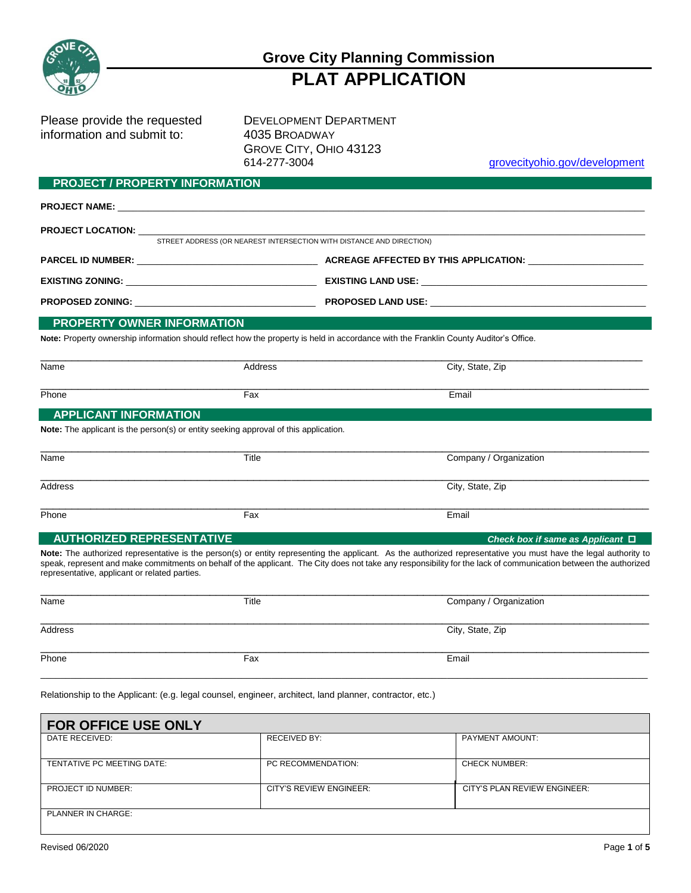

# **Grove City Planning Commission PLAT APPLICATION**

Please provide the requested DEVELOPMENT DEPARTMENT information and submit to: 4035 BROADWAY

GROVE CITY, OHIO 43123 614-277-3004 grovecityohio.gov/development

#### **PROJECT / PROPERTY INFORMATION**

| STREET ADDRESS (OR NEAREST INTERSECTION WITH DISTANCE AND DIRECTION)                                                                 |  |
|--------------------------------------------------------------------------------------------------------------------------------------|--|
|                                                                                                                                      |  |
|                                                                                                                                      |  |
|                                                                                                                                      |  |
| <b>PROPERTY OWNER INFORMATION</b>                                                                                                    |  |
| Note: Property ownership information should reflect how the property is held in accordance with the Franklin County Auditor's Office |  |

**Note:** Property ownership information should reflect how the property is held in accordance with the Franklin County Auditor's Office.

| Name  | Address | City, State, Zip |
|-------|---------|------------------|
| Phone | Fax     | Email            |

## **APPLICANT INFORMATION**

**Note:** The applicant is the person(s) or entity seeking approval of this application.

| Name    | Title | Company / Organization |
|---------|-------|------------------------|
| Address |       | City, State, Zip       |
| Phone   | Fax   | Email                  |

#### **AUTHORIZED REPRESENTATIVE** *Check box if same as Applicant*

**Note:** The authorized representative is the person(s) or entity representing the applicant. As the authorized representative you must have the legal authority to speak, represent and make commitments on behalf of the applicant. The City does not take any responsibility for the lack of communication between the authorized representative, applicant or related parties.

| Name    | Title | Company / Organization |
|---------|-------|------------------------|
| Address |       | City, State, Zip       |
| Phone   | Fax   | Email                  |

Relationship to the Applicant: (e.g. legal counsel, engineer, architect, land planner, contractor, etc.)

| <b>FOR OFFICE USE ONLY</b> |                         |                              |
|----------------------------|-------------------------|------------------------------|
| DATE RECEIVED:             | <b>RECEIVED BY:</b>     | <b>PAYMENT AMOUNT:</b>       |
| TENTATIVE PC MEETING DATE: | PC RECOMMENDATION:      | <b>CHECK NUMBER:</b>         |
| <b>PROJECT ID NUMBER:</b>  | CITY'S REVIEW ENGINEER: | CITY'S PLAN REVIEW ENGINEER: |
| <b>PLANNER IN CHARGE:</b>  |                         |                              |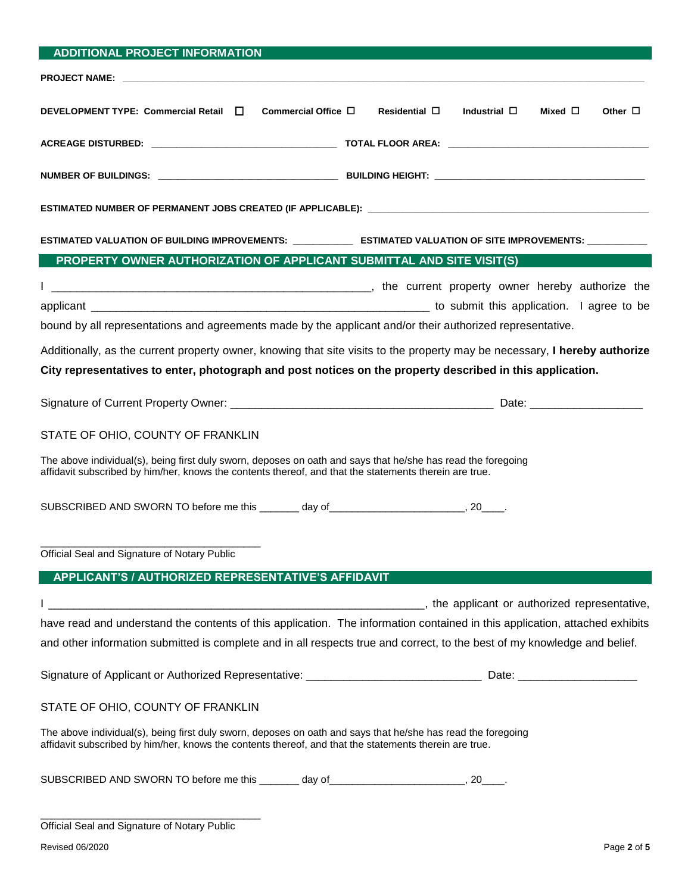| <b>ADDITIONAL PROJECT INFORMATION</b>                                                                                                                                                                                  |                                                                                                                             |
|------------------------------------------------------------------------------------------------------------------------------------------------------------------------------------------------------------------------|-----------------------------------------------------------------------------------------------------------------------------|
|                                                                                                                                                                                                                        |                                                                                                                             |
| DEVELOPMENT TYPE: Commercial Retail □<br>Commercial Office $\Box$                                                                                                                                                      | Residential $\square$<br>Industrial $\square$<br>Mixed $\square$<br>Other $\Box$                                            |
|                                                                                                                                                                                                                        |                                                                                                                             |
|                                                                                                                                                                                                                        |                                                                                                                             |
|                                                                                                                                                                                                                        |                                                                                                                             |
|                                                                                                                                                                                                                        | ESTIMATED VALUATION OF BUILDING IMPROVEMENTS: ______________ ESTIMATED VALUATION OF SITE IMPROVEMENTS: ___________          |
| PROPERTY OWNER AUTHORIZATION OF APPLICANT SUBMITTAL AND SITE VISIT(S)                                                                                                                                                  |                                                                                                                             |
| bound by all representations and agreements made by the applicant and/or their authorized representative.                                                                                                              |                                                                                                                             |
| City representatives to enter, photograph and post notices on the property described in this application.                                                                                                              | Additionally, as the current property owner, knowing that site visits to the property may be necessary, I hereby authorize  |
|                                                                                                                                                                                                                        |                                                                                                                             |
| STATE OF OHIO, COUNTY OF FRANKLIN                                                                                                                                                                                      |                                                                                                                             |
| The above individual(s), being first duly sworn, deposes on oath and says that he/she has read the foregoing<br>affidavit subscribed by him/her, knows the contents thereof, and that the statements therein are true. |                                                                                                                             |
| SUBSCRIBED AND SWORN TO before me this _______ day of ___________________________, 20_____.                                                                                                                            |                                                                                                                             |
| Official Seal and Signature of Notary Public                                                                                                                                                                           |                                                                                                                             |
| APPLICANT'S / AUTHORIZED REPRESENTATIVE'S AFFIDAVIT                                                                                                                                                                    |                                                                                                                             |
|                                                                                                                                                                                                                        |                                                                                                                             |
|                                                                                                                                                                                                                        | have read and understand the contents of this application. The information contained in this application, attached exhibits |
| and other information submitted is complete and in all respects true and correct, to the best of my knowledge and belief.                                                                                              |                                                                                                                             |
|                                                                                                                                                                                                                        |                                                                                                                             |
| STATE OF OHIO, COUNTY OF FRANKLIN                                                                                                                                                                                      |                                                                                                                             |
| The above individual(s), being first duly sworn, deposes on oath and says that he/she has read the foregoing<br>affidavit subscribed by him/her, knows the contents thereof, and that the statements therein are true. |                                                                                                                             |
| SUBSCRIBED AND SWORN TO before me this _______ day of __________________________, 20____.                                                                                                                              |                                                                                                                             |

| Official Seal and Signature of Notary Public |  |  |  |
|----------------------------------------------|--|--|--|
|----------------------------------------------|--|--|--|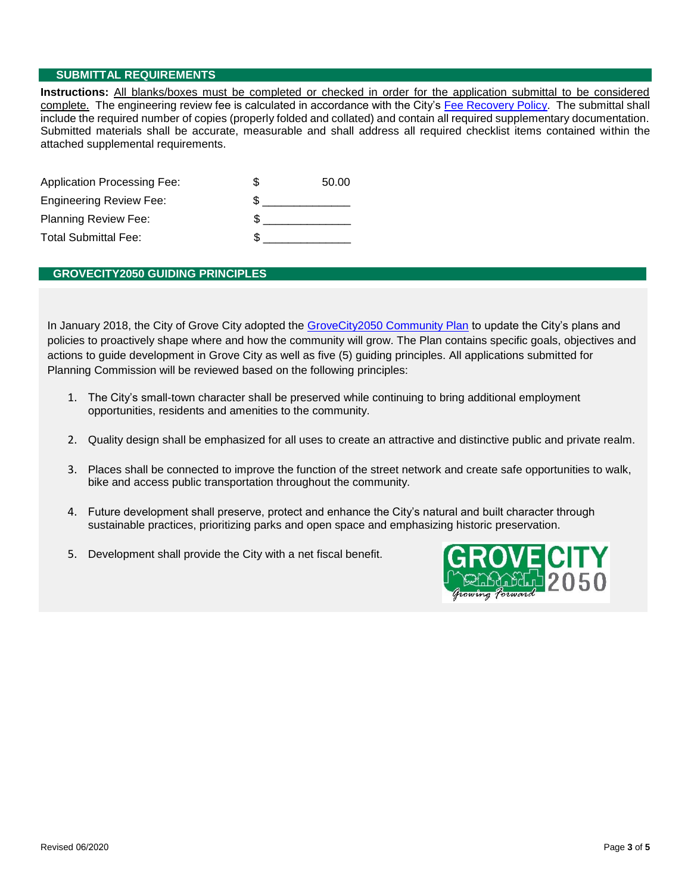## **SUBMITTAL REQUIREMENTS**

**Instructions:** All blanks/boxes must be completed or checked in order for the application submittal to be considered complete. The engineering review fee is calculated in accordance with the City's Fee Recovery Policy. The submittal shall include the required number of copies (properly folded and collated) and contain all required supplementary documentation. Submitted materials shall be accurate, measurable and shall address all required checklist items contained within the attached supplemental requirements.

| <b>Application Processing Fee:</b> | 50.00 |
|------------------------------------|-------|
| <b>Engineering Review Fee:</b>     |       |
| <b>Planning Review Fee:</b>        |       |
| <b>Total Submittal Fee:</b>        |       |

# **GROVECITY2050 GUIDING PRINCIPLES**

In January 2018, the City of Grove City adopted the GroveCity2050 Community Plan to update the City's plans and policies to proactively shape where and how the community will grow. The Plan contains specific goals, objectives and actions to guide development in Grove City as well as five (5) guiding principles. All applications submitted for Planning Commission will be reviewed based on the following principles:

- 1. The City's small-town character shall be preserved while continuing to bring additional employment opportunities, residents and amenities to the community.
- 2. Quality design shall be emphasized for all uses to create an attractive and distinctive public and private realm.
- 3. Places shall be connected to improve the function of the street network and create safe opportunities to walk, bike and access public transportation throughout the community.
- 4. Future development shall preserve, protect and enhance the City's natural and built character through sustainable practices, prioritizing parks and open space and emphasizing historic preservation.
- 5. Development shall provide the City with a net fiscal benefit.

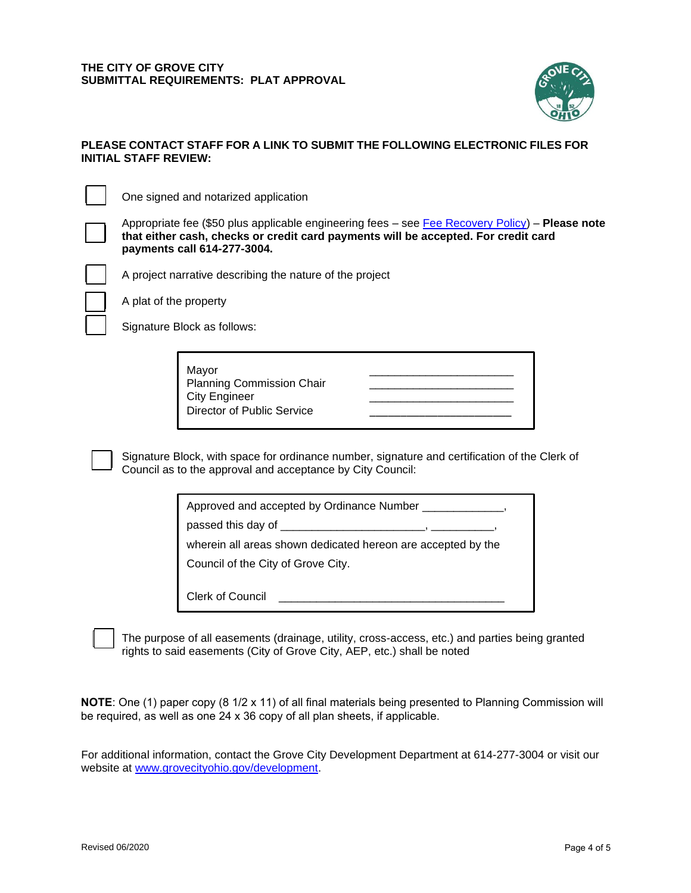

## **PLEASE CONTACT STAFF FOR A LINK TO SUBMIT THE FOLLOWING ELECTRONIC FILES FOR INITIAL STAFF REVIEW:**

One signed and notarized application

Appropriate fee (\$50 plus applicable engineering fees – see [Fee Recovery Policy\)](file://///WFS01/Development/Fee%20Recovery%20Policy/GC_FeeRecoveryPolicy.pdf) – **Please note that either cash, checks or credit card payments will be accepted. For credit card payments call 614-277-3004.**



A project narrative describing the nature of the project

A plat of the property

Signature Block as follows:

Mayor \_\_\_\_\_\_\_\_\_\_\_\_\_\_\_\_\_\_\_\_\_\_\_ Planning Commission Chair City Engineer Director of Public Service

Signature Block, with space for ordinance number, signature and certification of the Clerk of Council as to the approval and acceptance by City Council:

| Approved and accepted by Ordinance Number |  |  |
|-------------------------------------------|--|--|
|-------------------------------------------|--|--|

 $\mathcal{L}_\text{max}$  and  $\mathcal{L}_\text{max}$  and  $\mathcal{L}_\text{max}$  and  $\mathcal{L}_\text{max}$ 

passed this day of \_\_\_\_\_\_\_\_\_\_\_\_\_\_\_\_\_\_\_\_\_\_\_, \_\_\_\_\_\_\_\_\_\_,

wherein all areas shown dedicated hereon are accepted by the

Council of the City of Grove City.

Clerk of Council

The purpose of all easements (drainage, utility, cross-access, etc.) and parties being granted rights to said easements (City of Grove City, AEP, etc.) shall be noted

**NOTE**: One (1) paper copy (8 1/2 x 11) of all final materials being presented to Planning Commission will be required, as well as one 24 x 36 copy of all plan sheets, if applicable.

For additional information, contact the Grove City Development Department at 614-277-3004 or visit our website at [www.grovecityohio.gov/development.](http://www.grovecityohio.gov/development)